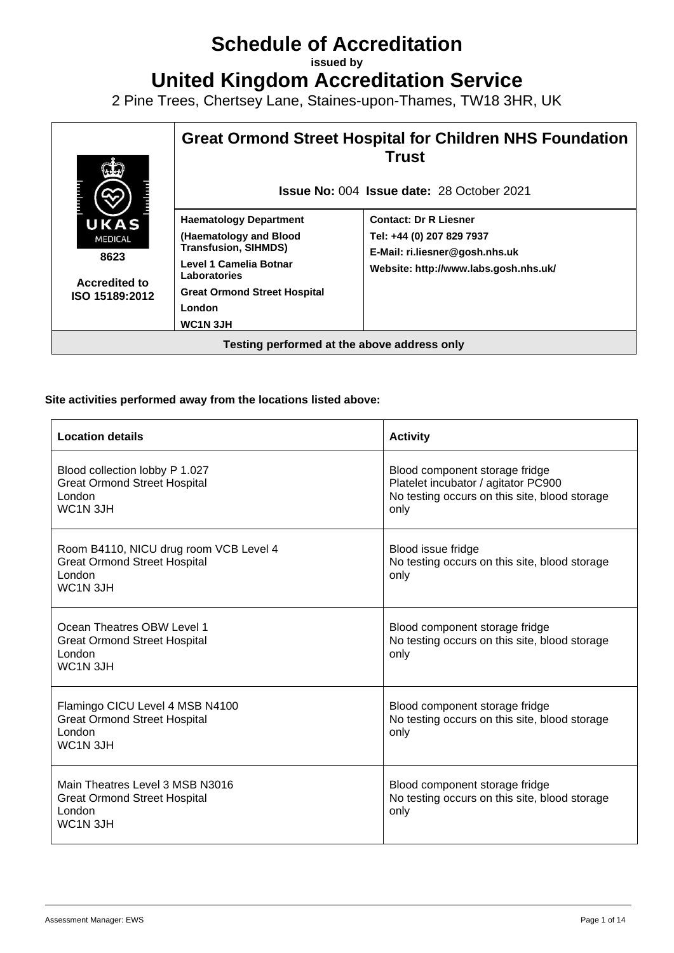# **Schedule of Accreditation**

**issued by**

**United Kingdom Accreditation Service**

2 Pine Trees, Chertsey Lane, Staines-upon-Thames, TW18 3HR, UK



#### **Site activities performed away from the locations listed above:**

| <b>Location details</b>                                                                                               | <b>Activity</b>                                                                                                                |
|-----------------------------------------------------------------------------------------------------------------------|--------------------------------------------------------------------------------------------------------------------------------|
| Blood collection lobby P 1.027<br><b>Great Ormond Street Hospital</b><br>London<br>WC <sub>1</sub> N <sub>3</sub> JH  | Blood component storage fridge<br>Platelet incubator / agitator PC900<br>No testing occurs on this site, blood storage<br>only |
| Room B4110, NICU drug room VCB Level 4<br><b>Great Ormond Street Hospital</b><br>London<br><b>WC1N 3JH</b>            | Blood issue fridge<br>No testing occurs on this site, blood storage<br>only                                                    |
| Ocean Theatres OBW Level 1<br><b>Great Ormond Street Hospital</b><br>London<br>WC <sub>1</sub> N <sub>3</sub> JH      | Blood component storage fridge<br>No testing occurs on this site, blood storage<br>only                                        |
| Flamingo CICU Level 4 MSB N4100<br><b>Great Ormond Street Hospital</b><br>London<br>WC <sub>1</sub> N <sub>3</sub> JH | Blood component storage fridge<br>No testing occurs on this site, blood storage<br>only                                        |
| Main Theatres Level 3 MSB N3016<br><b>Great Ormond Street Hospital</b><br>London<br>WC <sub>1</sub> N <sub>3JH</sub>  | Blood component storage fridge<br>No testing occurs on this site, blood storage<br>only                                        |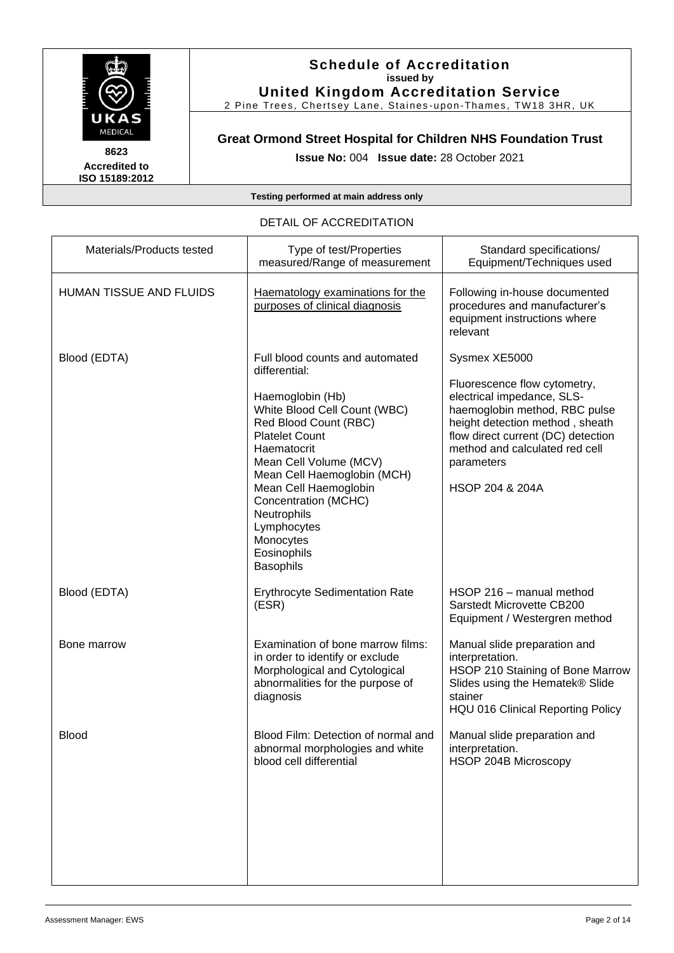

#### **Schedule of Accreditation issued by United Kingdom Accreditation Service**

2 Pine Trees, Chertsey Lane, Staines -upon-Thames, TW18 3HR, UK

# **Great Ormond Street Hospital for Children NHS Foundation Trust**

**Issue No:** 004 **Issue date:** 28 October 2021

**Testing performed at main address only**

#### DETAIL OF ACCREDITATION

| Materials/Products tested      | Type of test/Properties<br>measured/Range of measurement                                                                                                                                                                                                                                                                                               | Standard specifications/<br>Equipment/Techniques used                                                                                                                                                                                                               |
|--------------------------------|--------------------------------------------------------------------------------------------------------------------------------------------------------------------------------------------------------------------------------------------------------------------------------------------------------------------------------------------------------|---------------------------------------------------------------------------------------------------------------------------------------------------------------------------------------------------------------------------------------------------------------------|
| <b>HUMAN TISSUE AND FLUIDS</b> | Haematology examinations for the<br>purposes of clinical diagnosis                                                                                                                                                                                                                                                                                     | Following in-house documented<br>procedures and manufacturer's<br>equipment instructions where<br>relevant                                                                                                                                                          |
| Blood (EDTA)                   | Full blood counts and automated<br>differential:<br>Haemoglobin (Hb)<br>White Blood Cell Count (WBC)<br>Red Blood Count (RBC)<br><b>Platelet Count</b><br>Haematocrit<br>Mean Cell Volume (MCV)<br>Mean Cell Haemoglobin (MCH)<br>Mean Cell Haemoglobin<br>Concentration (MCHC)<br>Neutrophils<br>Lymphocytes<br>Monocytes<br>Eosinophils<br>Basophils | Sysmex XE5000<br>Fluorescence flow cytometry,<br>electrical impedance, SLS-<br>haemoglobin method, RBC pulse<br>height detection method, sheath<br>flow direct current (DC) detection<br>method and calculated red cell<br>parameters<br><b>HSOP 204 &amp; 204A</b> |
| Blood (EDTA)                   | <b>Erythrocyte Sedimentation Rate</b><br>(ESR)                                                                                                                                                                                                                                                                                                         | HSOP 216 - manual method<br>Sarstedt Microvette CB200<br>Equipment / Westergren method                                                                                                                                                                              |
| Bone marrow                    | Examination of bone marrow films:<br>in order to identify or exclude<br>Morphological and Cytological<br>abnormalities for the purpose of<br>diagnosis                                                                                                                                                                                                 | Manual slide preparation and<br>interpretation.<br>HSOP 210 Staining of Bone Marrow<br>Slides using the Hematek® Slide<br>stainer<br><b>HQU 016 Clinical Reporting Policy</b>                                                                                       |
| <b>Blood</b>                   | Blood Film: Detection of normal and<br>abnormal morphologies and white<br>blood cell differential                                                                                                                                                                                                                                                      | Manual slide preparation and<br>interpretation.<br>HSOP 204B Microscopy                                                                                                                                                                                             |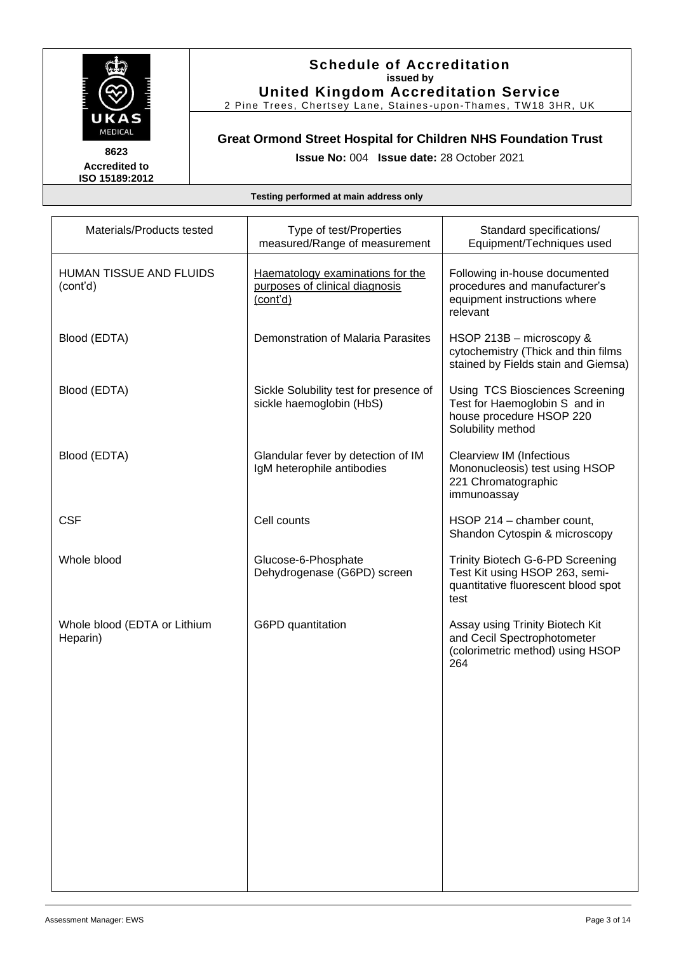

#### **Schedule of Accreditation issued by United Kingdom Accreditation Service**

2 Pine Trees, Chertsey Lane, Staines -upon-Thames, TW18 3HR, UK

# **Great Ormond Street Hospital for Children NHS Foundation Trust**

**Issue No:** 004 **Issue date:** 28 October 2021

| Materials/Products tested                  | Type of test/Properties<br>measured/Range of measurement                       | Standard specifications/<br>Equipment/Techniques used                                                             |
|--------------------------------------------|--------------------------------------------------------------------------------|-------------------------------------------------------------------------------------------------------------------|
| <b>HUMAN TISSUE AND FLUIDS</b><br>(cont'd) | Haematology examinations for the<br>purposes of clinical diagnosis<br>(cont'd) | Following in-house documented<br>procedures and manufacturer's<br>equipment instructions where<br>relevant        |
| Blood (EDTA)                               | Demonstration of Malaria Parasites                                             | HSOP 213B - microscopy &<br>cytochemistry (Thick and thin films<br>stained by Fields stain and Giemsa)            |
| Blood (EDTA)                               | Sickle Solubility test for presence of<br>sickle haemoglobin (HbS)             | Using TCS Biosciences Screening<br>Test for Haemoglobin S and in<br>house procedure HSOP 220<br>Solubility method |
| Blood (EDTA)                               | Glandular fever by detection of IM<br>IgM heterophile antibodies               | <b>Clearview IM (Infectious</b><br>Mononucleosis) test using HSOP<br>221 Chromatographic<br>immunoassay           |
| <b>CSF</b>                                 | Cell counts                                                                    | HSOP 214 - chamber count,<br>Shandon Cytospin & microscopy                                                        |
| Whole blood                                | Glucose-6-Phosphate<br>Dehydrogenase (G6PD) screen                             | Trinity Biotech G-6-PD Screening<br>Test Kit using HSOP 263, semi-<br>quantitative fluorescent blood spot<br>test |
| Whole blood (EDTA or Lithium<br>Heparin)   | G6PD quantitation                                                              | Assay using Trinity Biotech Kit<br>and Cecil Spectrophotometer<br>(colorimetric method) using HSOP<br>264         |
|                                            |                                                                                |                                                                                                                   |
|                                            |                                                                                |                                                                                                                   |
|                                            |                                                                                |                                                                                                                   |
|                                            |                                                                                |                                                                                                                   |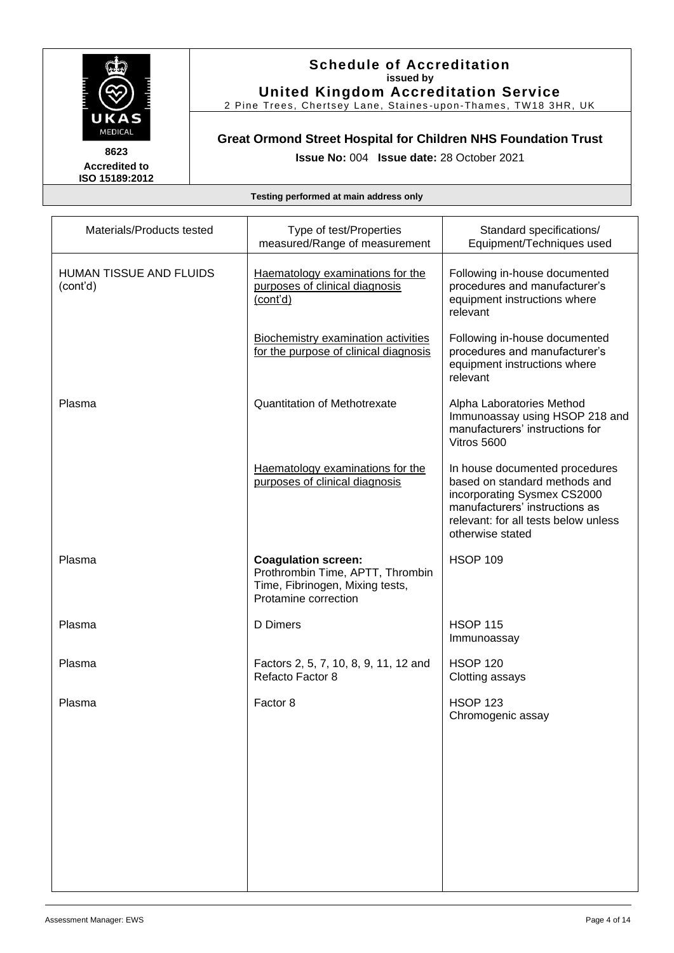

#### **Schedule of Accreditation issued by United Kingdom Accreditation Service**

2 Pine Trees, Chertsey Lane, Staines -upon-Thames, TW18 3HR, UK

# **Great Ormond Street Hospital for Children NHS Foundation Trust**

**Issue No:** 004 **Issue date:** 28 October 2021

| Materials/Products tested           | Type of test/Properties<br>measured/Range of measurement                                                                  | Standard specifications/<br>Equipment/Techniques used                                                                                                                                        |
|-------------------------------------|---------------------------------------------------------------------------------------------------------------------------|----------------------------------------------------------------------------------------------------------------------------------------------------------------------------------------------|
| HUMAN TISSUE AND FLUIDS<br>(cont'd) | Haematology examinations for the<br>purposes of clinical diagnosis<br>(cont'd)                                            | Following in-house documented<br>procedures and manufacturer's<br>equipment instructions where<br>relevant                                                                                   |
|                                     | <b>Biochemistry examination activities</b><br>for the purpose of clinical diagnosis                                       | Following in-house documented<br>procedures and manufacturer's<br>equipment instructions where<br>relevant                                                                                   |
| Plasma                              | <b>Quantitation of Methotrexate</b>                                                                                       | Alpha Laboratories Method<br>Immunoassay using HSOP 218 and<br>manufacturers' instructions for<br>Vitros 5600                                                                                |
|                                     | Haematology examinations for the<br>purposes of clinical diagnosis                                                        | In house documented procedures<br>based on standard methods and<br>incorporating Sysmex CS2000<br>manufacturers' instructions as<br>relevant: for all tests below unless<br>otherwise stated |
| Plasma                              | <b>Coagulation screen:</b><br>Prothrombin Time, APTT, Thrombin<br>Time, Fibrinogen, Mixing tests,<br>Protamine correction | <b>HSOP 109</b>                                                                                                                                                                              |
| Plasma                              | D Dimers                                                                                                                  | <b>HSOP 115</b><br>Immunoassay                                                                                                                                                               |
| Plasma                              | Factors 2, 5, 7, 10, 8, 9, 11, 12 and<br>Refacto Factor 8                                                                 | <b>HSOP 120</b><br>Clotting assays                                                                                                                                                           |
| Plasma                              | Factor 8                                                                                                                  | <b>HSOP 123</b><br>Chromogenic assay                                                                                                                                                         |
|                                     |                                                                                                                           |                                                                                                                                                                                              |
|                                     |                                                                                                                           |                                                                                                                                                                                              |
|                                     |                                                                                                                           |                                                                                                                                                                                              |
|                                     |                                                                                                                           |                                                                                                                                                                                              |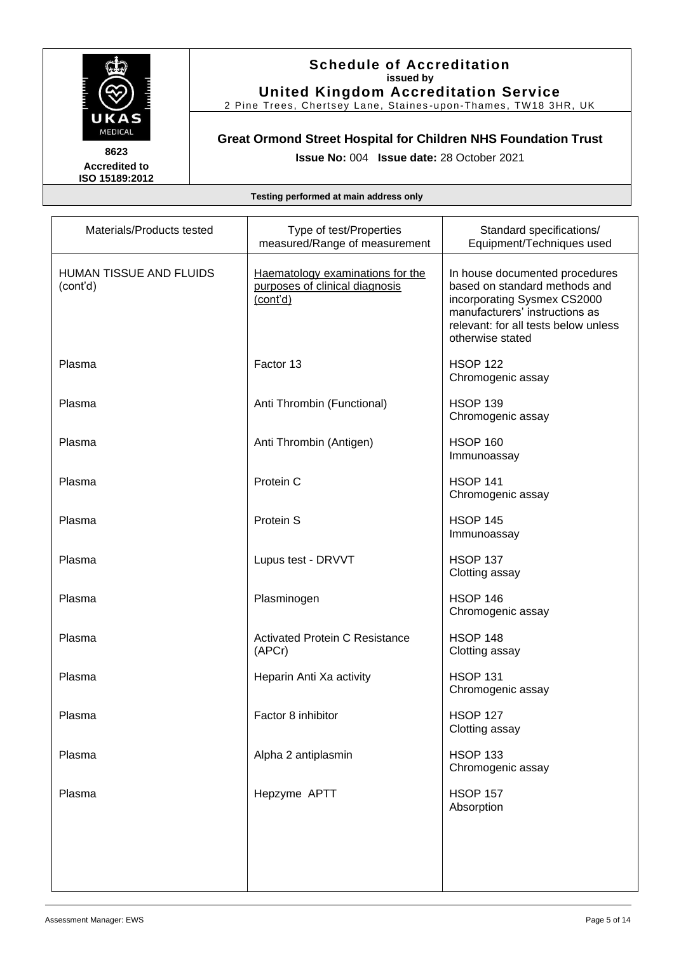

#### **Schedule of Accreditation issued by United Kingdom Accreditation Service**

2 Pine Trees, Chertsey Lane, Staines -upon-Thames, TW18 3HR, UK

# **Great Ormond Street Hospital for Children NHS Foundation Trust**

**Issue No:** 004 **Issue date:** 28 October 2021

| Materials/Products tested                  | Type of test/Properties<br>measured/Range of measurement                       | Standard specifications/<br>Equipment/Techniques used                                                                                                                                        |
|--------------------------------------------|--------------------------------------------------------------------------------|----------------------------------------------------------------------------------------------------------------------------------------------------------------------------------------------|
| <b>HUMAN TISSUE AND FLUIDS</b><br>(cont'd) | Haematology examinations for the<br>purposes of clinical diagnosis<br>(cont'd) | In house documented procedures<br>based on standard methods and<br>incorporating Sysmex CS2000<br>manufacturers' instructions as<br>relevant: for all tests below unless<br>otherwise stated |
| Plasma                                     | Factor 13                                                                      | <b>HSOP 122</b><br>Chromogenic assay                                                                                                                                                         |
| Plasma                                     | Anti Thrombin (Functional)                                                     | <b>HSOP 139</b><br>Chromogenic assay                                                                                                                                                         |
| Plasma                                     | Anti Thrombin (Antigen)                                                        | <b>HSOP 160</b><br>Immunoassay                                                                                                                                                               |
| Plasma                                     | Protein C                                                                      | <b>HSOP 141</b><br>Chromogenic assay                                                                                                                                                         |
| Plasma                                     | Protein S                                                                      | <b>HSOP 145</b><br>Immunoassay                                                                                                                                                               |
| Plasma                                     | Lupus test - DRVVT                                                             | <b>HSOP 137</b><br>Clotting assay                                                                                                                                                            |
| Plasma                                     | Plasminogen                                                                    | <b>HSOP 146</b><br>Chromogenic assay                                                                                                                                                         |
| Plasma                                     | <b>Activated Protein C Resistance</b><br>(APCr)                                | <b>HSOP 148</b><br>Clotting assay                                                                                                                                                            |
| Plasma                                     | Heparin Anti Xa activity                                                       | <b>HSOP 131</b><br>Chromogenic assay                                                                                                                                                         |
| Plasma                                     | Factor 8 inhibitor                                                             | <b>HSOP 127</b><br>Clotting assay                                                                                                                                                            |
| Plasma                                     | Alpha 2 antiplasmin                                                            | <b>HSOP 133</b><br>Chromogenic assay                                                                                                                                                         |
| Plasma                                     | Hepzyme APTT                                                                   | <b>HSOP 157</b><br>Absorption                                                                                                                                                                |
|                                            |                                                                                |                                                                                                                                                                                              |
|                                            |                                                                                |                                                                                                                                                                                              |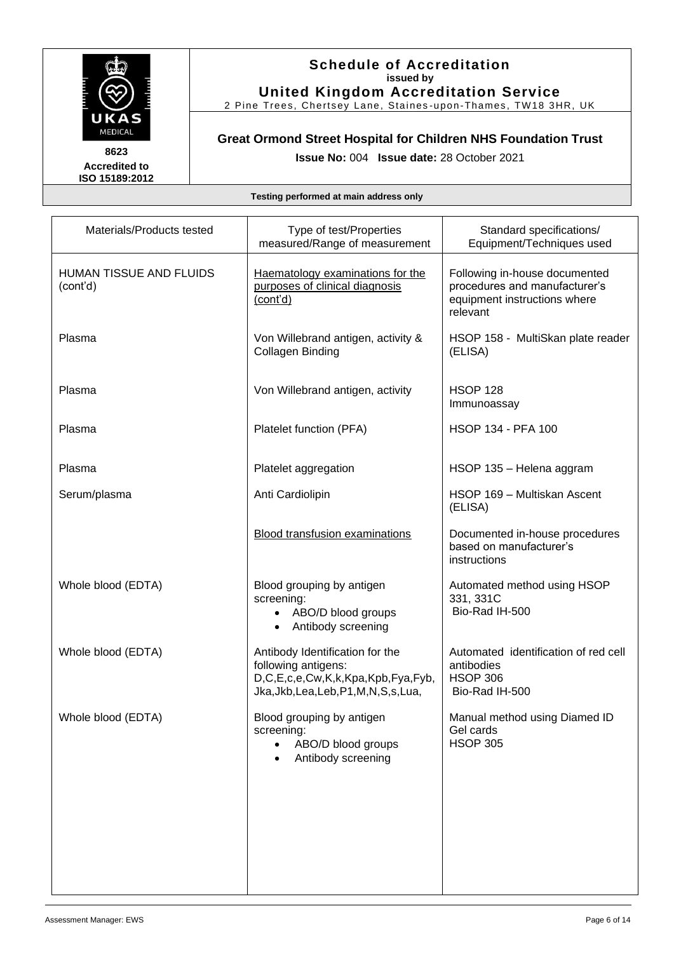

#### **Schedule of Accreditation issued by United Kingdom Accreditation Service**

2 Pine Trees, Chertsey Lane, Staines -upon-Thames, TW18 3HR, UK

# **Great Ormond Street Hospital for Children NHS Foundation Trust**

**Issue No:** 004 **Issue date:** 28 October 2021

| Materials/Products tested           | Type of test/Properties<br>measured/Range of measurement                                                                                | Standard specifications/<br>Equipment/Techniques used                                                      |
|-------------------------------------|-----------------------------------------------------------------------------------------------------------------------------------------|------------------------------------------------------------------------------------------------------------|
| HUMAN TISSUE AND FLUIDS<br>(cont'd) | Haematology examinations for the<br>purposes of clinical diagnosis<br>(cont'd)                                                          | Following in-house documented<br>procedures and manufacturer's<br>equipment instructions where<br>relevant |
| Plasma                              | Von Willebrand antigen, activity &<br>Collagen Binding                                                                                  | HSOP 158 - MultiSkan plate reader<br>(ELISA)                                                               |
| Plasma                              | Von Willebrand antigen, activity                                                                                                        | <b>HSOP 128</b><br>Immunoassay                                                                             |
| Plasma                              | Platelet function (PFA)                                                                                                                 | <b>HSOP 134 - PFA 100</b>                                                                                  |
| Plasma                              | Platelet aggregation                                                                                                                    | HSOP 135 - Helena aggram                                                                                   |
| Serum/plasma                        | Anti Cardiolipin                                                                                                                        | HSOP 169 - Multiskan Ascent<br>(ELISA)                                                                     |
|                                     | <b>Blood transfusion examinations</b>                                                                                                   | Documented in-house procedures<br>based on manufacturer's<br>instructions                                  |
| Whole blood (EDTA)                  | Blood grouping by antigen<br>screening:<br>ABO/D blood groups<br>Antibody screening<br>$\bullet$                                        | Automated method using HSOP<br>331, 331C<br>Bio-Rad IH-500                                                 |
| Whole blood (EDTA)                  | Antibody Identification for the<br>following antigens:<br>D,C,E,c,e,Cw,K,k,Kpa,Kpb,Fya,Fyb,<br>Jka, Jkb, Lea, Leb, P1, M, N, S, s, Lua, | Automated identification of red cell<br>antibodies<br><b>HSOP 306</b><br>Bio-Rad IH-500                    |
| Whole blood (EDTA)                  | Blood grouping by antigen<br>screening:<br>ABO/D blood groups<br>Antibody screening                                                     | Manual method using Diamed ID<br>Gel cards<br><b>HSOP 305</b>                                              |
|                                     |                                                                                                                                         |                                                                                                            |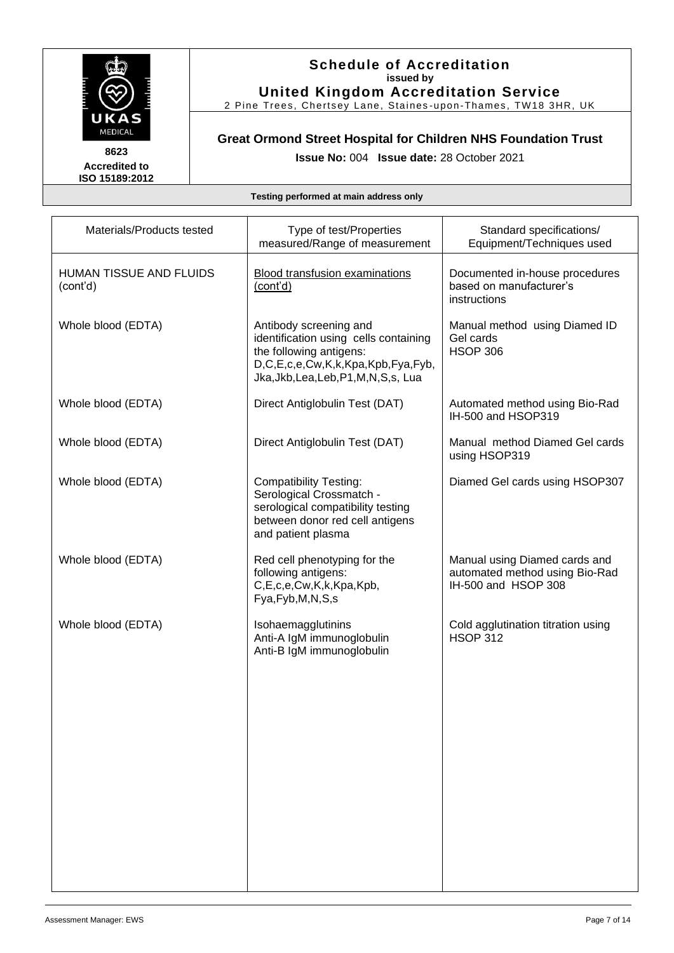

#### **Schedule of Accreditation issued by United Kingdom Accreditation Service**

2 Pine Trees, Chertsey Lane, Staines -upon-Thames, TW18 3HR, UK

# **Great Ormond Street Hospital for Children NHS Foundation Trust**

**Issue No:** 004 **Issue date:** 28 October 2021

| Materials/Products tested                  | Type of test/Properties<br>measured/Range of measurement                                                                                                                   | Standard specifications/<br>Equipment/Techniques used                                  |
|--------------------------------------------|----------------------------------------------------------------------------------------------------------------------------------------------------------------------------|----------------------------------------------------------------------------------------|
| <b>HUMAN TISSUE AND FLUIDS</b><br>(cont'd) | <b>Blood transfusion examinations</b><br>(cont'd)                                                                                                                          | Documented in-house procedures<br>based on manufacturer's<br>instructions              |
| Whole blood (EDTA)                         | Antibody screening and<br>identification using cells containing<br>the following antigens:<br>D,C,E,c,e,Cw,K,k,Kpa,Kpb,Fya,Fyb,<br>Jka, Jkb, Lea, Leb, P1, M, N, S, s, Lua | Manual method using Diamed ID<br>Gel cards<br><b>HSOP 306</b>                          |
| Whole blood (EDTA)                         | Direct Antiglobulin Test (DAT)                                                                                                                                             | Automated method using Bio-Rad<br>IH-500 and HSOP319                                   |
| Whole blood (EDTA)                         | Direct Antiglobulin Test (DAT)                                                                                                                                             | Manual method Diamed Gel cards<br>using HSOP319                                        |
| Whole blood (EDTA)                         | <b>Compatibility Testing:</b><br>Serological Crossmatch -<br>serological compatibility testing<br>between donor red cell antigens<br>and patient plasma                    | Diamed Gel cards using HSOP307                                                         |
| Whole blood (EDTA)                         | Red cell phenotyping for the<br>following antigens:<br>C,E,c,e,Cw,K,k,Kpa,Kpb,<br>Fya, Fyb, M, N, S, s                                                                     | Manual using Diamed cards and<br>automated method using Bio-Rad<br>IH-500 and HSOP 308 |
| Whole blood (EDTA)                         | Isohaemagglutinins<br>Anti-A IgM immunoglobulin<br>Anti-B IgM immunoglobulin                                                                                               | Cold agglutination titration using<br><b>HSOP 312</b>                                  |
|                                            |                                                                                                                                                                            |                                                                                        |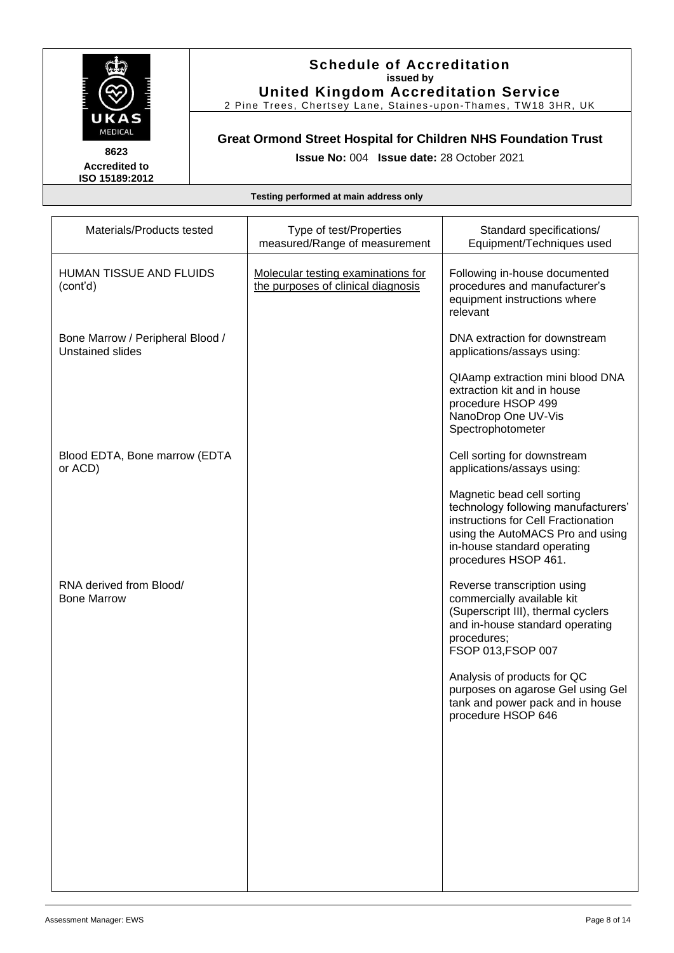

#### **Schedule of Accreditation issued by United Kingdom Accreditation Service**

2 Pine Trees, Chertsey Lane, Staines -upon-Thames, TW18 3HR, UK

### **Great Ormond Street Hospital for Children NHS Foundation Trust**

**Issue No:** 004 **Issue date:** 28 October 2021

| Materials/Products tested                            | Type of test/Properties<br>measured/Range of measurement                 | Standard specifications/<br>Equipment/Techniques used                                                                                                                                               |
|------------------------------------------------------|--------------------------------------------------------------------------|-----------------------------------------------------------------------------------------------------------------------------------------------------------------------------------------------------|
| <b>HUMAN TISSUE AND FLUIDS</b><br>(cont'd)           | Molecular testing examinations for<br>the purposes of clinical diagnosis | Following in-house documented<br>procedures and manufacturer's<br>equipment instructions where<br>relevant                                                                                          |
| Bone Marrow / Peripheral Blood /<br>Unstained slides |                                                                          | DNA extraction for downstream<br>applications/assays using:                                                                                                                                         |
|                                                      |                                                                          | QIAamp extraction mini blood DNA<br>extraction kit and in house<br>procedure HSOP 499<br>NanoDrop One UV-Vis<br>Spectrophotometer                                                                   |
| Blood EDTA, Bone marrow (EDTA<br>or ACD)             |                                                                          | Cell sorting for downstream<br>applications/assays using:                                                                                                                                           |
|                                                      |                                                                          | Magnetic bead cell sorting<br>technology following manufacturers'<br>instructions for Cell Fractionation<br>using the AutoMACS Pro and using<br>in-house standard operating<br>procedures HSOP 461. |
| RNA derived from Blood/<br><b>Bone Marrow</b>        |                                                                          | Reverse transcription using<br>commercially available kit<br>(Superscript III), thermal cyclers<br>and in-house standard operating<br>procedures;<br>FSOP 013, FSOP 007                             |
|                                                      |                                                                          | Analysis of products for QC<br>purposes on agarose Gel using Gel<br>tank and power pack and in house<br>procedure HSOP 646                                                                          |
|                                                      |                                                                          |                                                                                                                                                                                                     |
|                                                      |                                                                          |                                                                                                                                                                                                     |
|                                                      |                                                                          |                                                                                                                                                                                                     |
|                                                      |                                                                          |                                                                                                                                                                                                     |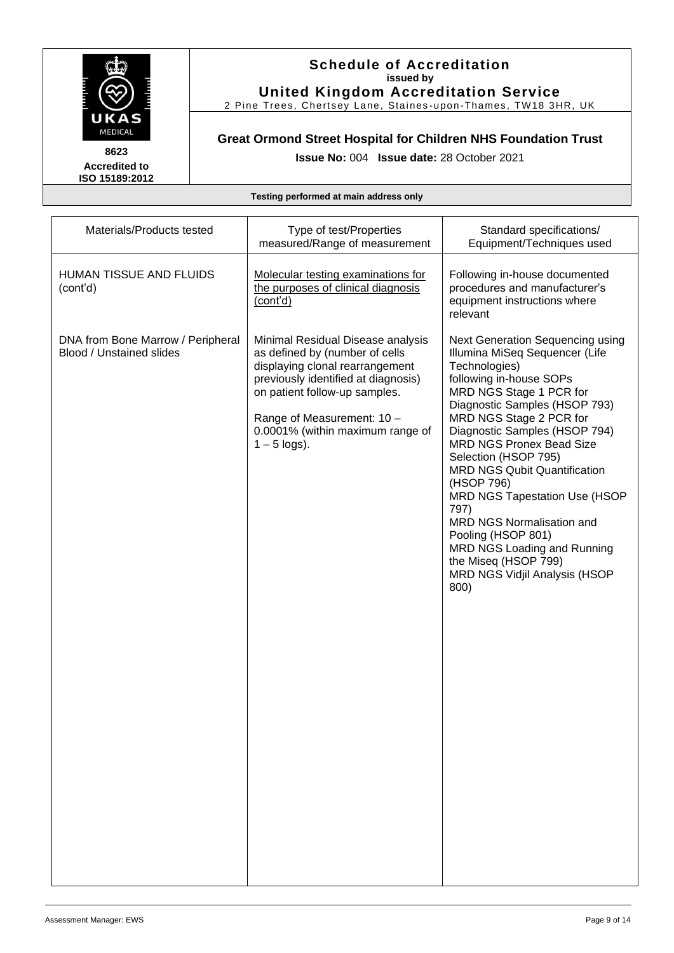

#### **Schedule of Accreditation issued by United Kingdom Accreditation Service**

2 Pine Trees, Chertsey Lane, Staines -upon-Thames, TW18 3HR, UK

### **Great Ormond Street Hospital for Children NHS Foundation Trust**

**Issue No:** 004 **Issue date:** 28 October 2021

| Materials/Products tested                                     | Type of test/Properties<br>measured/Range of measurement                                                                                                                                                                                                           | Standard specifications/<br>Equipment/Techniques used                                                                                                                                                                                                                                                                                                                                                                                                                                                                                                     |
|---------------------------------------------------------------|--------------------------------------------------------------------------------------------------------------------------------------------------------------------------------------------------------------------------------------------------------------------|-----------------------------------------------------------------------------------------------------------------------------------------------------------------------------------------------------------------------------------------------------------------------------------------------------------------------------------------------------------------------------------------------------------------------------------------------------------------------------------------------------------------------------------------------------------|
| HUMAN TISSUE AND FLUIDS<br>(cont'd)                           | Molecular testing examinations for<br>the purposes of clinical diagnosis<br>(cont'd)                                                                                                                                                                               | Following in-house documented<br>procedures and manufacturer's<br>equipment instructions where<br>relevant                                                                                                                                                                                                                                                                                                                                                                                                                                                |
| DNA from Bone Marrow / Peripheral<br>Blood / Unstained slides | Minimal Residual Disease analysis<br>as defined by (number of cells<br>displaying clonal rearrangement<br>previously identified at diagnosis)<br>on patient follow-up samples.<br>Range of Measurement: 10 -<br>0.0001% (within maximum range of<br>$1 - 5$ logs). | Next Generation Sequencing using<br>Illumina MiSeq Sequencer (Life<br>Technologies)<br>following in-house SOPs<br>MRD NGS Stage 1 PCR for<br>Diagnostic Samples (HSOP 793)<br>MRD NGS Stage 2 PCR for<br>Diagnostic Samples (HSOP 794)<br><b>MRD NGS Pronex Bead Size</b><br>Selection (HSOP 795)<br><b>MRD NGS Qubit Quantification</b><br>(HSOP 796)<br><b>MRD NGS Tapestation Use (HSOP</b><br>797)<br>MRD NGS Normalisation and<br>Pooling (HSOP 801)<br>MRD NGS Loading and Running<br>the Miseq (HSOP 799)<br>MRD NGS Vidjil Analysis (HSOP<br>800) |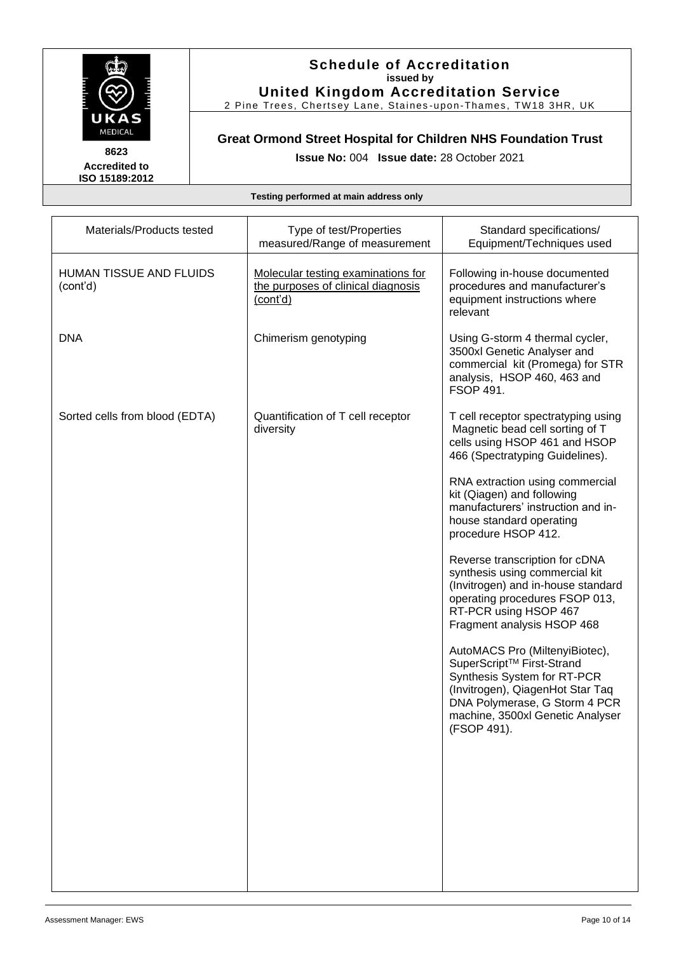

#### **Schedule of Accreditation issued by United Kingdom Accreditation Service**

2 Pine Trees, Chertsey Lane, Staines -upon-Thames, TW18 3HR, UK

### **Great Ormond Street Hospital for Children NHS Foundation Trust**

**Issue No:** 004 **Issue date:** 28 October 2021

| Materials/Products tested           | Type of test/Properties<br>measured/Range of measurement                             | Standard specifications/<br>Equipment/Techniques used                                                                                                                                                                          |
|-------------------------------------|--------------------------------------------------------------------------------------|--------------------------------------------------------------------------------------------------------------------------------------------------------------------------------------------------------------------------------|
| HUMAN TISSUE AND FLUIDS<br>(cont'd) | Molecular testing examinations for<br>the purposes of clinical diagnosis<br>(cont'd) | Following in-house documented<br>procedures and manufacturer's<br>equipment instructions where<br>relevant                                                                                                                     |
| <b>DNA</b>                          | Chimerism genotyping                                                                 | Using G-storm 4 thermal cycler,<br>3500xl Genetic Analyser and<br>commercial kit (Promega) for STR<br>analysis, HSOP 460, 463 and<br><b>FSOP 491.</b>                                                                          |
| Sorted cells from blood (EDTA)      | Quantification of T cell receptor<br>diversity                                       | T cell receptor spectratyping using<br>Magnetic bead cell sorting of T<br>cells using HSOP 461 and HSOP<br>466 (Spectratyping Guidelines).                                                                                     |
|                                     |                                                                                      | RNA extraction using commercial<br>kit (Qiagen) and following<br>manufacturers' instruction and in-<br>house standard operating<br>procedure HSOP 412.                                                                         |
|                                     |                                                                                      | Reverse transcription for cDNA<br>synthesis using commercial kit<br>(Invitrogen) and in-house standard<br>operating procedures FSOP 013,<br>RT-PCR using HSOP 467<br>Fragment analysis HSOP 468                                |
|                                     |                                                                                      | AutoMACS Pro (MiltenyiBiotec),<br>SuperScript <sup>™</sup> First-Strand<br>Synthesis System for RT-PCR<br>(Invitrogen), QiagenHot Star Taq<br>DNA Polymerase, G Storm 4 PCR<br>machine, 3500xl Genetic Analyser<br>(FSOP 491). |
|                                     |                                                                                      |                                                                                                                                                                                                                                |
|                                     |                                                                                      |                                                                                                                                                                                                                                |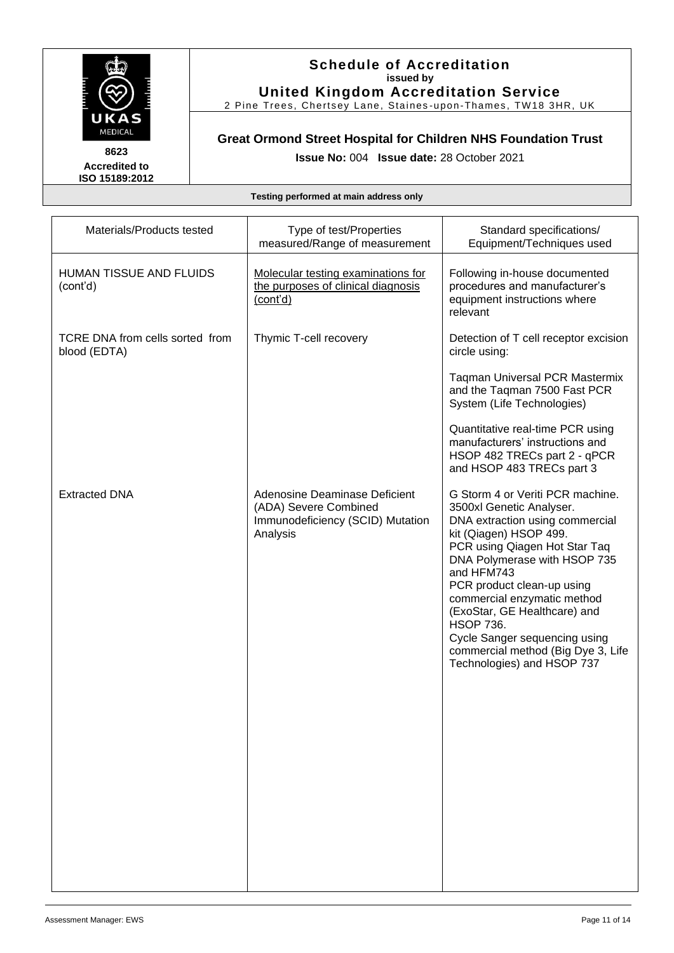

#### **Schedule of Accreditation issued by United Kingdom Accreditation Service**

2 Pine Trees, Chertsey Lane, Staines -upon-Thames, TW18 3HR, UK

### **Great Ormond Street Hospital for Children NHS Foundation Trust**

**Issue No:** 004 **Issue date:** 28 October 2021

| Materials/Products tested                       | Type of test/Properties<br>measured/Range of measurement                                               | Standard specifications/<br>Equipment/Techniques used                                                                                                                                                                                                                                                                                                                                                                          |
|-------------------------------------------------|--------------------------------------------------------------------------------------------------------|--------------------------------------------------------------------------------------------------------------------------------------------------------------------------------------------------------------------------------------------------------------------------------------------------------------------------------------------------------------------------------------------------------------------------------|
| HUMAN TISSUE AND FLUIDS<br>(cont'd)             | Molecular testing examinations for<br>the purposes of clinical diagnosis<br>(cont'd)                   | Following in-house documented<br>procedures and manufacturer's<br>equipment instructions where<br>relevant                                                                                                                                                                                                                                                                                                                     |
| TCRE DNA from cells sorted from<br>blood (EDTA) | Thymic T-cell recovery                                                                                 | Detection of T cell receptor excision<br>circle using:                                                                                                                                                                                                                                                                                                                                                                         |
|                                                 |                                                                                                        | <b>Taqman Universal PCR Mastermix</b><br>and the Taqman 7500 Fast PCR<br>System (Life Technologies)                                                                                                                                                                                                                                                                                                                            |
|                                                 |                                                                                                        | Quantitative real-time PCR using<br>manufacturers' instructions and<br>HSOP 482 TRECs part 2 - qPCR<br>and HSOP 483 TRECs part 3                                                                                                                                                                                                                                                                                               |
| <b>Extracted DNA</b>                            | Adenosine Deaminase Deficient<br>(ADA) Severe Combined<br>Immunodeficiency (SCID) Mutation<br>Analysis | G Storm 4 or Veriti PCR machine.<br>3500xl Genetic Analyser.<br>DNA extraction using commercial<br>kit (Qiagen) HSOP 499.<br>PCR using Qiagen Hot Star Taq<br>DNA Polymerase with HSOP 735<br>and HFM743<br>PCR product clean-up using<br>commercial enzymatic method<br>(ExoStar, GE Healthcare) and<br><b>HSOP 736.</b><br>Cycle Sanger sequencing using<br>commercial method (Big Dye 3, Life<br>Technologies) and HSOP 737 |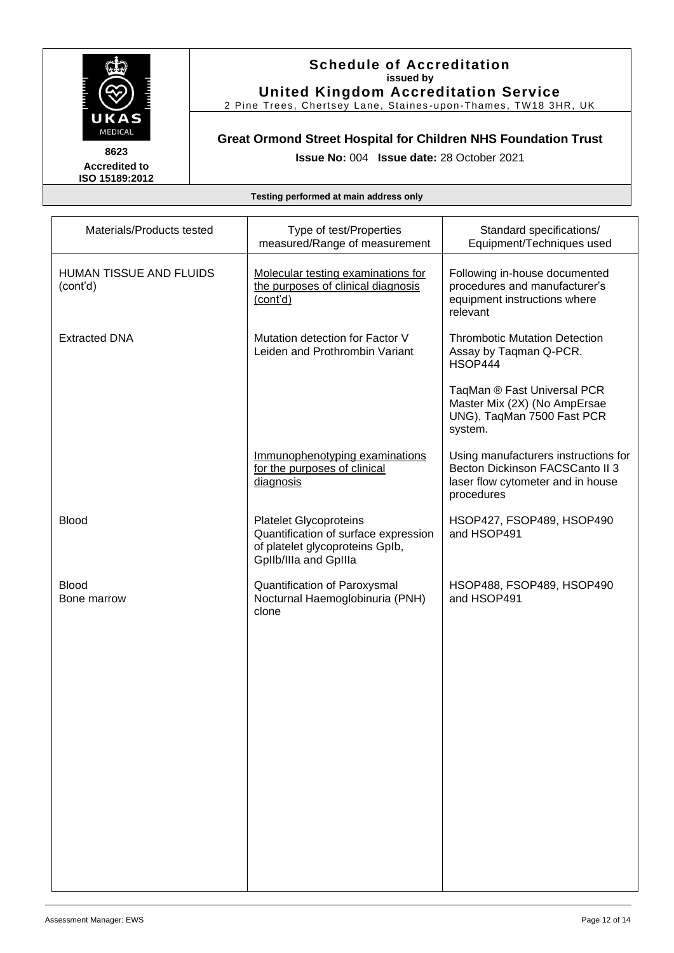

#### **Schedule of Accreditation issued by United Kingdom Accreditation Service**

2 Pine Trees, Chertsey Lane, Staines -upon-Thames, TW18 3HR, UK

### **Great Ormond Street Hospital for Children NHS Foundation Trust**

**Issue No:** 004 **Issue date:** 28 October 2021

| Materials/Products tested           | Type of test/Properties<br>measured/Range of measurement                                                                          | Standard specifications/<br>Equipment/Techniques used                                                                      |
|-------------------------------------|-----------------------------------------------------------------------------------------------------------------------------------|----------------------------------------------------------------------------------------------------------------------------|
| HUMAN TISSUE AND FLUIDS<br>(cont'd) | Molecular testing examinations for<br>the purposes of clinical diagnosis<br>(cont'd)                                              | Following in-house documented<br>procedures and manufacturer's<br>equipment instructions where<br>relevant                 |
| <b>Extracted DNA</b>                | Mutation detection for Factor V<br>Leiden and Prothrombin Variant                                                                 | <b>Thrombotic Mutation Detection</b><br>Assay by Taqman Q-PCR.<br>HSOP444                                                  |
|                                     |                                                                                                                                   | TaqMan ® Fast Universal PCR<br>Master Mix (2X) (No AmpErsae<br>UNG), TaqMan 7500 Fast PCR<br>system.                       |
|                                     | Immunophenotyping examinations<br>for the purposes of clinical<br>diagnosis                                                       | Using manufacturers instructions for<br>Becton Dickinson FACSCanto II 3<br>laser flow cytometer and in house<br>procedures |
| <b>Blood</b>                        | <b>Platelet Glycoproteins</b><br>Quantification of surface expression<br>of platelet glycoproteins Gplb,<br>GpIlb/IIIa and GpIIIa | HSOP427, FSOP489, HSOP490<br>and HSOP491                                                                                   |
| <b>Blood</b><br>Bone marrow         | Quantification of Paroxysmal<br>Nocturnal Haemoglobinuria (PNH)<br>clone                                                          | HSOP488, FSOP489, HSOP490<br>and HSOP491                                                                                   |
|                                     |                                                                                                                                   |                                                                                                                            |
|                                     |                                                                                                                                   |                                                                                                                            |
|                                     |                                                                                                                                   |                                                                                                                            |
|                                     |                                                                                                                                   |                                                                                                                            |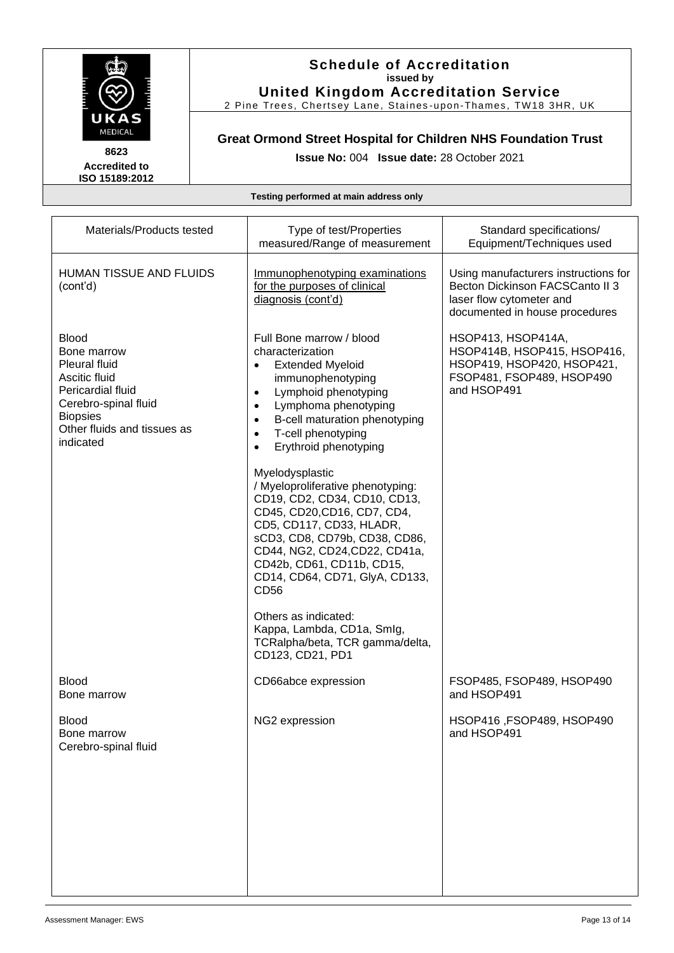

#### **Schedule of Accreditation issued by United Kingdom Accreditation Service**

2 Pine Trees, Chertsey Lane, Staines -upon-Thames, TW18 3HR, UK

### **Great Ormond Street Hospital for Children NHS Foundation Trust**

**Issue No:** 004 **Issue date:** 28 October 2021

| Materials/Products tested                                                                                                                                                        | Type of test/Properties<br>measured/Range of measurement                                                                                                                                                                                                                                                                                                                                                                                                                                                                                                                                                                                                                                                            | Standard specifications/<br>Equipment/Techniques used                                                                                 |
|----------------------------------------------------------------------------------------------------------------------------------------------------------------------------------|---------------------------------------------------------------------------------------------------------------------------------------------------------------------------------------------------------------------------------------------------------------------------------------------------------------------------------------------------------------------------------------------------------------------------------------------------------------------------------------------------------------------------------------------------------------------------------------------------------------------------------------------------------------------------------------------------------------------|---------------------------------------------------------------------------------------------------------------------------------------|
| HUMAN TISSUE AND FLUIDS<br>(cont'd)                                                                                                                                              | Immunophenotyping examinations<br>for the purposes of clinical<br>diagnosis (cont'd)                                                                                                                                                                                                                                                                                                                                                                                                                                                                                                                                                                                                                                | Using manufacturers instructions for<br>Becton Dickinson FACSCanto II 3<br>laser flow cytometer and<br>documented in house procedures |
| <b>Blood</b><br>Bone marrow<br><b>Pleural fluid</b><br>Ascitic fluid<br>Pericardial fluid<br>Cerebro-spinal fluid<br><b>Biopsies</b><br>Other fluids and tissues as<br>indicated | Full Bone marrow / blood<br>characterization<br><b>Extended Myeloid</b><br>$\bullet$<br>immunophenotyping<br>Lymphoid phenotyping<br>$\bullet$<br>Lymphoma phenotyping<br>$\bullet$<br>B-cell maturation phenotyping<br>$\bullet$<br>T-cell phenotyping<br>$\bullet$<br>Erythroid phenotyping<br>$\bullet$<br>Myelodysplastic<br>/ Myeloproliferative phenotyping:<br>CD19, CD2, CD34, CD10, CD13,<br>CD45, CD20, CD16, CD7, CD4,<br>CD5, CD117, CD33, HLADR,<br>sCD3, CD8, CD79b, CD38, CD86,<br>CD44, NG2, CD24, CD22, CD41a,<br>CD42b, CD61, CD11b, CD15,<br>CD14, CD64, CD71, GlyA, CD133,<br>CD56<br>Others as indicated:<br>Kappa, Lambda, CD1a, Smlg,<br>TCRalpha/beta, TCR gamma/delta,<br>CD123, CD21, PD1 | HSOP413, HSOP414A,<br>HSOP414B, HSOP415, HSOP416,<br>HSOP419, HSOP420, HSOP421,<br>FSOP481, FSOP489, HSOP490<br>and HSOP491           |
| <b>Blood</b><br>Bone marrow                                                                                                                                                      | CD66abce expression                                                                                                                                                                                                                                                                                                                                                                                                                                                                                                                                                                                                                                                                                                 | FSOP485, FSOP489, HSOP490<br>and HSOP491                                                                                              |
| <b>Blood</b><br>Bone marrow<br>Cerebro-spinal fluid                                                                                                                              | NG2 expression                                                                                                                                                                                                                                                                                                                                                                                                                                                                                                                                                                                                                                                                                                      | HSOP416, FSOP489, HSOP490<br>and HSOP491                                                                                              |
|                                                                                                                                                                                  |                                                                                                                                                                                                                                                                                                                                                                                                                                                                                                                                                                                                                                                                                                                     |                                                                                                                                       |